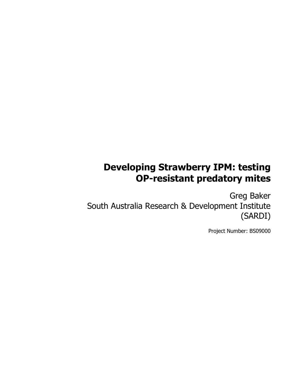# **Developing Strawberry IPM: testing OP-resistant predatory mites**

Greg Baker South Australia Research & Development Institute (SARDI)

Project Number: BS09000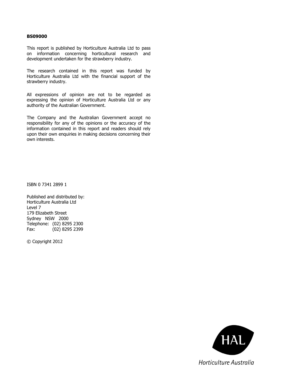#### **BS09000**

This report is published by Horticulture Australia Ltd to pass on information concerning horticultural research and development undertaken for the strawberry industry.

The research contained in this report was funded by Horticulture Australia Ltd with the financial support of the strawberry industry.

All expressions of opinion are not to be regarded as expressing the opinion of Horticulture Australia Ltd or any authority of the Australian Government.

The Company and the Australian Government accept no responsibility for any of the opinions or the accuracy of the information contained in this report and readers should rely upon their own enquiries in making decisions concerning their own interests.

ISBN 0 7341 2899 1

Published and distributed by: Horticulture Australia Ltd Level 7 179 Elizabeth Street Sydney NSW 2000 Telephone: (02) 8295 2300 Fax: (02) 8295 2399

© Copyright 2012

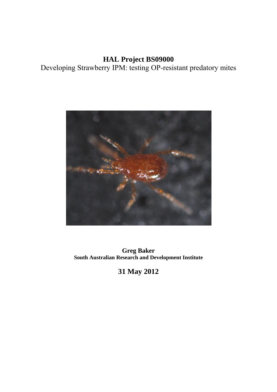## **HAL Project BS09000**  Developing Strawberry IPM: testing OP-resistant predatory mites



**Greg Baker South Australian Research and Development Institute** 

**31 May 2012**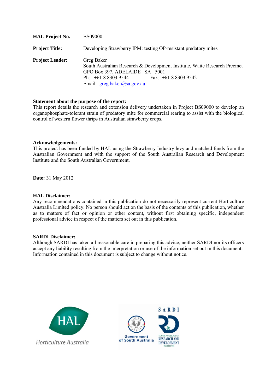| <b>HAL Project No.</b> | <b>BS09000</b>                                                                                                                                                                                        |
|------------------------|-------------------------------------------------------------------------------------------------------------------------------------------------------------------------------------------------------|
| <b>Project Title:</b>  | Developing Strawberry IPM: testing OP-resistant predatory mites                                                                                                                                       |
| <b>Project Leader:</b> | Greg Baker<br>South Australian Research & Development Institute, Waite Research Precinct<br>GPO Box 397, ADELAIDE SA 5001<br>Ph: $+61883039544$<br>Fax: $+61883039542$<br>Email: greg.baker@sa.gov.au |

#### **Statement about the purpose of the report:**

This report details the research and extension delivery undertaken in Project BS09000 to develop an organophosphate-tolerant strain of predatory mite for commercial rearing to assist with the biological control of western flower thrips in Australian strawberry crops.

#### **Acknowledgements:**

This project has been funded by HAL using the Strawberry Industry levy and matched funds from the Australian Government and with the support of the South Australian Research and Development Institute and the South Australian Government.

**Date:** 31 May 2012

#### **HAL Disclaimer:**

Any recommendations contained in this publication do not necessarily represent current Horticulture Australia Limited policy. No person should act on the basis of the contents of this publication, whether as to matters of fact or opinion or other content, without first obtaining specific, independent professional advice in respect of the matters set out in this publication.

#### **SARDI Disclaimer:**

Although SARDI has taken all reasonable care in preparing this advice, neither SARDI nor its officers accept any liability resulting from the interpretation or use of the information set out in this document. Information contained in this document is subject to change without notice.



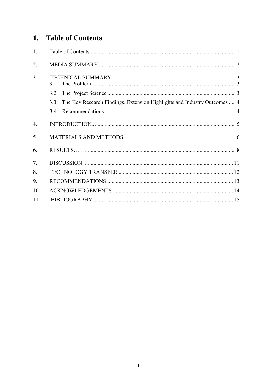## 1. Table of Contents

| 1.               |                                                                                 |
|------------------|---------------------------------------------------------------------------------|
| $\overline{2}$ . |                                                                                 |
| 3 <sub>1</sub>   | 31                                                                              |
|                  | 3.2                                                                             |
|                  | The Key Research Findings, Extension Highlights and Industry Outcomes  4<br>3.3 |
|                  | 3.4                                                                             |
| $\overline{4}$ . |                                                                                 |
| 5.               |                                                                                 |
| 6.               |                                                                                 |
| 7.               |                                                                                 |
| 8.               |                                                                                 |
| 9.               |                                                                                 |
| 10.              |                                                                                 |
| 11.              |                                                                                 |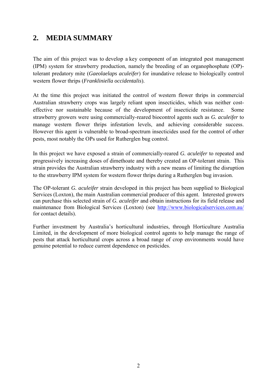## **2. MEDIA SUMMARY**

The aim of this project was to develop a key component of an integrated pest management (IPM) system for strawberry production, namely the breeding of an organophosphate (OP) tolerant predatory mite (*Gaeolaelaps aculeifer*) for inundative release to biologically control western flower thrips (*Frankliniella occidentalis*).

At the time this project was initiated the control of western flower thrips in commercial Australian strawberry crops was largely reliant upon insecticides, which was neither costeffective nor sustainable because of the development of insecticide resistance. Some strawberry growers were using commercially-reared biocontrol agents such as *G. aculeifer* to manage western flower thrips infestation levels, and achieving considerable success. However this agent is vulnerable to broad-spectrum insecticides used for the control of other pests, most notably the OPs used for Rutherglen bug control.

In this project we have exposed a strain of commercially-reared *G. aculeifer* to repeated and progressively increasing doses of dimethoate and thereby created an OP-tolerant strain. This strain provides the Australian strawberry industry with a new means of limiting the disruption to the strawberry IPM system for western flower thrips during a Rutherglen bug invasion.

The OP-tolerant *G. aculeifer* strain developed in this project has been supplied to Biological Services (Loxton), the main Australian commercial producer of this agent.Interested growers can purchase this selected strain of *G. aculeifer* and obtain instructions for its field release and maintenance from Biological Services (Loxton) (see <http://www.biologicalservices.com.au/> for contact details).

Further investment by Australia's horticultural industries, through Horticulture Australia Limited, in the development of more biological control agents to help manage the range of pests that attack horticultural crops across a broad range of crop environments would have genuine potential to reduce current dependence on pesticides.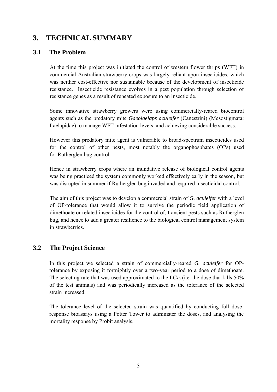## **3. TECHNICAL SUMMARY**

#### **3.1 The Problem**

At the time this project was initiated the control of western flower thrips (WFT) in commercial Australian strawberry crops was largely reliant upon insecticides, which was neither cost-effective nor sustainable because of the development of insecticide resistance. Insecticide resistance evolves in a pest population through selection of resistance genes as a result of repeated exposure to an insecticide.

Some innovative strawberry growers were using commercially-reared biocontrol agents such as the predatory mite *Gaeolaelaps aculeifer* (Canestrini) (Mesostigmata: Laelapidae) to manage WFT infestation levels, and achieving considerable success.

However this predatory mite agent is vulnerable to broad-spectrum insecticides used for the control of other pests, most notably the organophosphates (OPs) used for Rutherglen bug control.

Hence in strawberry crops where an inundative release of biological control agents was being practiced the system commonly worked effectively early in the season, but was disrupted in summer if Rutherglen bug invaded and required insecticidal control.

The aim of this project was to develop a commercial strain of *G. aculeifer* with a level of OP-tolerance that would allow it to survive the periodic field application of dimethoate or related insecticides for the control of, transient pests such as Rutherglen bug, and hence to add a greater resilience to the biological control management system in strawberries.

### **3.2 The Project Science**

In this project we selected a strain of commercially-reared *G. aculeifer* for OPtolerance by exposing it fortnightly over a two-year period to a dose of dimethoate. The selecting rate that was used approximated to the  $LC_{50}$  (i.e. the dose that kills 50% of the test animals) and was periodically increased as the tolerance of the selected strain increased.

The tolerance level of the selected strain was quantified by conducting full doseresponse bioassays using a Potter Tower to administer the doses, and analysing the mortality response by Probit analysis.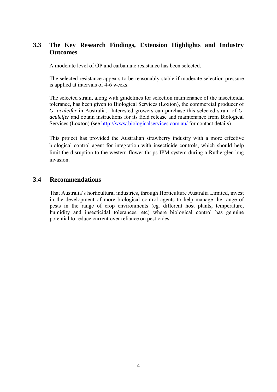### **3.3 The Key Research Findings, Extension Highlights and Industry Outcomes**

A moderate level of OP and carbamate resistance has been selected.

The selected resistance appears to be reasonably stable if moderate selection pressure is applied at intervals of 4-6 weeks.

The selected strain, along with guidelines for selection maintenance of the insecticidal tolerance, has been given to Biological Services (Loxton), the commercial producer of *G. aculeifer* in Australia. Interested growers can purchase this selected strain of *G. aculeifer* and obtain instructions for its field release and maintenance from Biological Services (Loxton) (see<http://www.biologicalservices.com.au/> for contact details).

This project has provided the Australian strawberry industry with a more effective biological control agent for integration with insecticide controls, which should help limit the disruption to the western flower thrips IPM system during a Rutherglen bug invasion.

#### **3.4 Recommendations**

That Australia's horticultural industries, through Horticulture Australia Limited, invest in the development of more biological control agents to help manage the range of pests in the range of crop environments (eg. different host plants, temperature, humidity and insecticidal tolerances, etc) where biological control has genuine potential to reduce current over reliance on pesticides.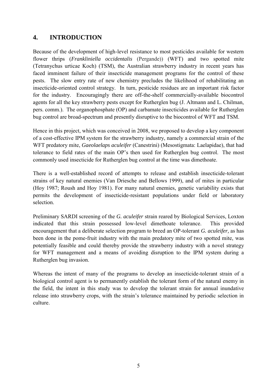### **4. INTRODUCTION**

Because of the development of high-level resistance to most pesticides available for western flower thrips (*Frankliniella occidentalis* (Pergande)) (WFT) and two spotted mite (Tetranychus urticae Koch) (TSM), the Australian strawberry industry in recent years has faced imminent failure of their insecticide management programs for the control of these pests. The slow entry rate of new chemistry precludes the likelihood of rehabilitating an insecticide-oriented control strategy. In turn, pesticide residues are an important risk factor for the industry. Encouragingly there are off-the-shelf commercially-available biocontrol agents for all the key strawberry pests except for Rutherglen bug (J. Altmann and L. Chilman, pers. comm.). The organophosphate (OP) and carbamate insecticides available for Rutherglen bug control are broad-spectrum and presently disruptive to the biocontrol of WFT and TSM.

Hence in this project, which was conceived in 2008, we proposed to develop a key component of a cost-effective IPM system for the strawberry industry, namely a commercial strain of the WFT predatory mite, *Gaeolaelaps aculeifer* (Canestrini) (Mesostigmata: Laelapidae), that had tolerance to field rates of the main OP's then used for Rutherglen bug control. The most commonly used insecticide for Rutherglen bug control at the time was dimethoate.

There is a well-established record of attempts to release and establish insecticide-tolerant strains of key natural enemies (Van Driesche and Bellows 1999), and of mites in particular (Hoy 1987; Roush and Hoy 1981). For many natural enemies, genetic variability exists that permits the development of insecticide-resistant populations under field or laboratory selection.

Preliminary SARDI screening of the *G. aculeifer* strain reared by Biological Services, Loxton indicated that this strain possessed low-level dimethoate tolerance. This provided encouragement that a deliberate selection program to breed an OP-tolerant *G. aculeifer,* as has been done in the pome-fruit industry with the main predatory mite of two spotted mite, was potentially feasible and could thereby provide the strawberry industry with a novel strategy for WFT management and a means of avoiding disruption to the IPM system during a Rutherglen bug invasion.

Whereas the intent of many of the programs to develop an insecticide-tolerant strain of a biological control agent is to permanently establish the tolerant form of the natural enemy in the field, the intent in this study was to develop the tolerant strain for annual inundative release into strawberry crops, with the strain's tolerance maintained by periodic selection in culture.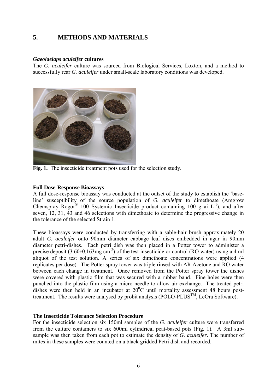### **5. METHODS AND MATERIALS**

#### *Gaeolaelaps aculeifer* **cultures**

The *G. aculeifer* culture was sourced from Biological Services, Loxton, and a method to successfully rear *G. aculeifer* under small-scale laboratory conditions was developed.



Fig. 1. The insecticide treatment pots used for the selection study.

#### **Full Dose-Response Bioassays**

A full dose-response bioassay was conducted at the outset of the study to establish the 'baseline' susceptibility of the source population of *G. aculeifer* to dimethoate (Amgrow Chemspray Rogor<sup>®</sup> 100 Systemic Insecticide product containing 100 g ai  $L^{-1}$ ), and after seven, 12, 31, 43 and 46 selections with dimethoate to determine the progressive change in the tolerance of the selected Strain 1.

These bioassays were conducted by transferring with a sable-hair brush approximately 20 adult *G. aculeifer* onto 90mm diameter cabbage leaf discs embedded in agar in 90mm diameter petri-dishes. Each petri dish was then placed in a Potter tower to administer a precise deposit  $(3.60\pm0.163mg \text{ cm}^{-2})$  of the test insecticide or control (RO water) using a 4 ml aliquot of the test solution. A series of six dimethoate concentrations were applied (4 replicates per dose). The Potter spray tower was triple rinsed with AR Acetone and RO water between each change in treatment. Once removed from the Potter spray tower the dishes were covered with plastic film that was secured with a rubber band. Fine holes were then punched into the plastic film using a micro needle to allow air exchange. The treated petri dishes were then held in an incubator at  $20^{\circ}$ C until mortality assessment 48 hours posttreatment. The results were analysed by probit analysis (POLO-PLUS<sup>TM</sup>, LeOra Software).

#### **The Insecticide Tolerance Selection Procedure**

For the insecticide selection six 150ml samples of the *G. aculeifer* culture were transferred from the culture containers to six 600ml cylindrical peat-based pots (Fig. 1). A 3ml subsample was then taken from each pot to estimate the density of *G. aculeifer*. The number of mites in these samples were counted on a black gridded Petri dish and recorded.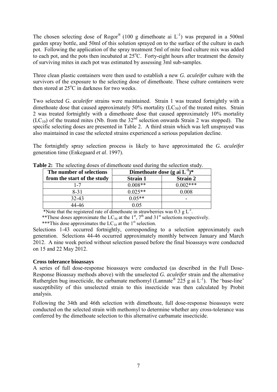The chosen selecting dose of Rogor® (100 g dimethoate ai  $L^{-1}$ ) was prepared in a 500ml garden spray bottle, and 50ml of this solution sprayed on to the surface of the culture in each pot. Following the application of the spray treatment 5ml of mite food culture mix was added to each pot, and the pots then incubated at  $25^{\circ}$ C. Forty-eight hours after treatment the density of surviving mites in each pot was estimated by assessing 3ml sub-samples.

Three clean plastic containers were then used to establish a new *G. aculeifer* culture with the survivors of the exposure to the selecting dose of dimethoate. These culture containers were then stored at  $25^{\circ}$ C in darkness for two weeks.

Two selected *G. aculeifer* strains were maintained. Strain 1 was treated fortnightly with a dimethoate dose that caused approximately 50% mortality  $(LC_{50})$  of the treated mites. Strain 2 was treated fortnightly with a dimethoate dose that caused approximately 10% mortality  $(LC_{10})$  of the treated mites (Nb. from the 32<sup>nd</sup> selection onwards Strain 2 was stopped). The specific selecting doses are presented in Table 2. A third strain which was left unsprayed was also maintained in case the selected strains experienced a serious population decline.

The fortnightly spray selection process is likely to have approximated the *G. aculeifer* generation time [\(Enkegaard](https://springerlink3.metapress.com/content/?Author=A.+Enkegaard) *et al*. 1997).

| The number of selections    | Dimethoate dose (g ai $L^{-1}$ )* |                 |  |  |
|-----------------------------|-----------------------------------|-----------------|--|--|
| from the start of the study | <b>Strain 1</b>                   | <b>Strain 2</b> |  |  |
| l - 7                       | $0.008**$                         | $0.002***$      |  |  |
| $8 - 31$                    | $0.025**$                         | 0.008           |  |  |
| $32 - 43$                   | $0.05**$                          | -               |  |  |
| 14-46                       | 0.05                              |                 |  |  |

**Table 2:** The selecting doses of dimethoate used during the selection study.

\*Note that the registered rate of dimethoate in strawberries was  $0.3 \text{ g L}^{-1}$ .

\*\*These doses approximate the  $LC_{50}$  at the  $1^{st}$ ,  $7^{th}$  and  $31^{st}$  selections respectively.

\*\*\*This dose approximates the  $LC_{10}$  at the 1<sup>st</sup> selection.

Selections 1-43 occurred fortnightly, corresponding to a selection approximately each generation. Selections 44-46 occurred approximately monthly between January and March 2012. A nine week period without selection passed before the final bioassays were conducted on 15 and 22 May 2012.

#### **Cross tolerance bioassays**

A series of full dose-response bioassays were conducted (as described in the Full Dose-Response Bioassay methods above) with the unselected *G. aculeifer* strain and the alternative Rutherglen bug insecticide, the carbamate methomyl (Lannate<sup>®</sup> 225 g ai  $L^{-1}$ ). The 'base-line' susceptibility of this unselected strain to this insecticide was then calculated by Probit analysis.

Following the 34th and 46th selection with dimethoate, full dose-response bioassays were conducted on the selected strain with methomyl to determine whether any cross-tolerance was conferred by the dimethoate selection to this alternative carbamate insecticide.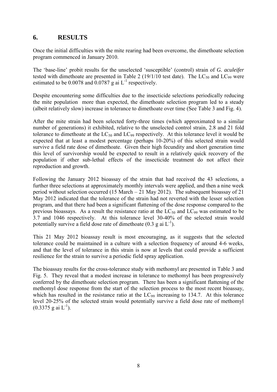#### **6. RESULTS**

Once the initial difficulties with the mite rearing had been overcome, the dimethoate selection program commenced in January 2010.

The 'base-line' probit results for the unselected 'susceptible' (control) strain of *G. aculeifer* tested with dimethoate are presented in Table 2 (19/1/10 test date). The  $LC_{50}$  and  $LC_{99}$  were estimated to be 0.0078 and 0.0787 g ai  $L^{-1}$  respectively.

Despite encountering some difficulties due to the insecticide selections periodically reducing the mite population more than expected, the dimethoate selection program led to a steady (albeit relatively slow) increase in tolerance to dimethoate over time (See Table 3 and Fig. 4).

After the mite strain had been selected forty-three times (which approximated to a similar number of generations) it exhibited, relative to the unselected control strain, 2.8 and 21 fold tolerance to dimethoate at the  $LC_{50}$  and  $LC_{99}$  respectively. At this tolerance level it would be expected that at least a modest percentage (perhaps 10-20%) of this selected strain would survive a field rate dose of dimethoate. Given their high fecundity and short generation time this level of survivorship would be expected to result in a relatively quick recovery of the population if other sub-lethal effects of the insecticide treatment do not affect their reproduction and growth.

Following the January 2012 bioassay of the strain that had received the 43 selections, a further three selections at approximately monthly intervals were applied, and then a nine week period without selection occurred (15 March  $-21$  May 2012). The subsequent bioassay of 21 May 2012 indicated that the tolerance of the strain had not reverted with the lesser selection program, and that there had been a significant flattening of the dose response compared to the previous bioassays. As a result the resistance ratio at the  $LC_{50}$  and  $LC_{99}$  was estimated to be 3.7 and 1046 respectively. At this tolerance level 30-40% of the selected strain would potentially survive a field dose rate of dimethoate  $(0.3 \text{ g ai } L^{-1})$ .

This 21 May 2012 bioassay result is most encouraging, as it suggests that the selected tolerance could be maintained in a culture with a selection frequency of around 4-6 weeks, and that the level of tolerance in this strain is now at levels that could provide a sufficient resilience for the strain to survive a periodic field spray application.

The bioassay results for the cross-tolerance study with methomyl are presented in Table 3 and Fig. 5. They reveal that a modest increase in tolerance to methomyl has been progressively conferred by the dimethoate selection program. There has been a significant flattening of the methomyl dose response from the start of the selection process to the most recent bioassay, which has resulted in the resistance ratio at the  $LC_{99}$  increasing to 134.7. At this tolerance level 20-25% of the selected strain would potentially survive a field dose rate of methomyl  $(0.3375 \text{ g} \text{ ai } L^{-1})$ .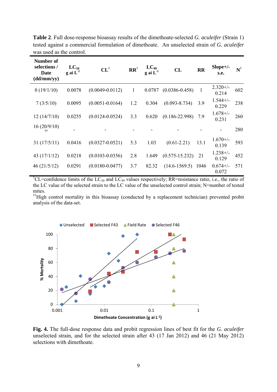| <b>Number of</b><br>selections /<br>Date<br>(dd/mm/yy) | $LC_{50}$<br>g ai $L^1$ | $CL^{\dagger}$      | $\mathbf{R} \mathbf{R}^{\dagger}$ | $LC_{99}$<br>$g$ ai $L^{-1}$ | CL                 | <b>RR</b> | $Slope+/-$<br>s.e.   | $N^{\dagger}$ |
|--------------------------------------------------------|-------------------------|---------------------|-----------------------------------|------------------------------|--------------------|-----------|----------------------|---------------|
| 0(19/1/10)                                             | 0.0078                  | $(0.0049 - 0.0112)$ | 1                                 | 0.0787                       | $(0.0386 - 0.458)$ | 1         | $2.320+/-$<br>0.214  | 602           |
| 7(3/5/10)                                              | 0.0095                  | $(0.0051 - 0.0164)$ | 1.2                               | 0.304                        | $(0.093 - 8.734)$  | 3.9       | $1.544+/-$<br>0.229  | 238           |
| 12(14/7/10)                                            | 0.0255                  | $(0.0124 - 0.0524)$ | 3.3                               | 0.620                        | $(0.186 - 22.998)$ | 7.9       | $1.678 +/-$<br>0.231 | 260           |
| 16(20/9/10)<br>Ħ                                       |                         |                     |                                   |                              |                    |           |                      | 280           |
| 31(17/5/11)                                            | 0.0416                  | $(0.0327 - 0.0521)$ | 5.3                               | 1.03                         | $(0.61 - 2.21)$    | 13.1      | $1.670+/-$<br>0.139  | 593           |
| 43 $(17/1/12)$                                         | 0.0218                  | $(0.0103 - 0.0356)$ | 2.8                               | 1.649                        | $(0.575 - 15.232)$ | 21        | $1.238 +/-$<br>0.129 | 452           |
| 46(21/5/12)                                            | 0.0291                  | $(0.0180 - 0.0477)$ | 3.7                               | 82.32                        | $(14.6 - 1569.5)$  | 1046      | $0.674 +/-$<br>0.072 | 571           |

**Table 2**. Full dose-response bioassay results of the dimethoate-selected *G. aculeifer* (Strain 1) tested against a commercial formulation of dimethoate. An unselected strain of *G. aculeifer* was used as the control.

<sup>†</sup>CL=confidence limits of the LC<sub>50</sub> and LC<sub>99</sub> values respectively; RR=resistance ratio, i.e., the ratio of the LC value of the selected strain to the LC value of the unselected control strain; N=number of tested mites.

<sup>††</sup>High control mortality in this bioassay (conducted by a replacement technician) prevented probit analysis of the data-set.



**Fig. 4.** The full-dose response data and probit regression lines of best fit for the *G. aculeifer* unselected strain, and for the selected strain after 43 (17 Jan 2012) and 46 (21 May 2012) selections with dimethoate.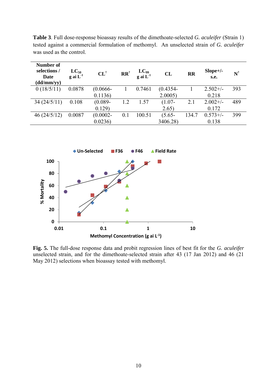| Number of<br>selections/<br>Date<br>$\frac{d d / m m}{y y}$ | $LC_{50}$<br>g ai $L^{-1}$ | $CL^{\dagger}$ | $\mathbf{R} \mathbf{R}^{\dagger}$ | $LC_{99}$<br>g ai $L^{-1}$ | CL          | $\mathbf{R}$ | $Slope+/-$<br>s.e. | $N^{\dagger}$ |
|-------------------------------------------------------------|----------------------------|----------------|-----------------------------------|----------------------------|-------------|--------------|--------------------|---------------|
| 0(18/5/11)                                                  | 0.0878                     | $(0.0666 -$    |                                   | 0.7461                     | $(0.4354 -$ |              | $2.502+/-$         | 393           |
|                                                             |                            | 0.1136         |                                   |                            | 2.0005      |              | 0.218              |               |
| 34(24/5/11)                                                 | 0.108                      | $(0.089 -$     | 1.2                               | 1.57                       | $(1.07 -$   | 2.1          | $2.002+/-$         | 489           |
|                                                             |                            | 0.129          |                                   |                            | 2.65)       |              | 0.172              |               |
| 46(24/5/12)                                                 | 0.0087                     | $(0.0002 -$    | 0.1                               | 100.51                     | $(5.65 -$   | 134.7        | $0.573 +/-$        | 399           |
|                                                             |                            | 0.0236         |                                   |                            | 3406.28)    |              | 0.138              |               |

**Table 3**. Full dose-response bioassay results of the dimethoate-selected *G. aculeifer* (Strain 1) tested against a commercial formulation of methomyl. An unselected strain of *G. aculeifer* was used as the control.



**Fig. 5.** The full-dose response data and probit regression lines of best fit for the *G. aculeifer* unselected strain, and for the dimethoate-selected strain after 43 (17 Jan 2012) and 46 (21 May 2012) selections when bioassay tested with methomyl.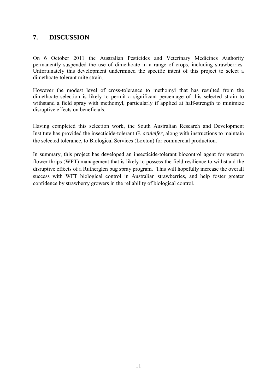### **7. DISCUSSION**

On 6 October 2011 the Australian Pesticides and Veterinary Medicines Authority permanently suspended the use of dimethoate in a range of crops, including strawberries. Unfortunately this development undermined the specific intent of this project to select a dimethoate-tolerant mite strain.

However the modest level of cross-tolerance to methomyl that has resulted from the dimethoate selection is likely to permit a significant percentage of this selected strain to withstand a field spray with methomyl, particularly if applied at half-strength to minimize disruptive effects on beneficials.

Having completed this selection work, the South Australian Research and Development Institute has provided the insecticide-tolerant *G. aculeifer*, along with instructions to maintain the selected tolerance, to Biological Services (Loxton) for commercial production.

In summary, this project has developed an insecticide-tolerant biocontrol agent for western flower thrips (WFT) management that is likely to possess the field resilience to withstand the disruptive effects of a Rutherglen bug spray program. This will hopefully increase the overall success with WFT biological control in Australian strawberries, and help foster greater confidence by strawberry growers in the reliability of biological control.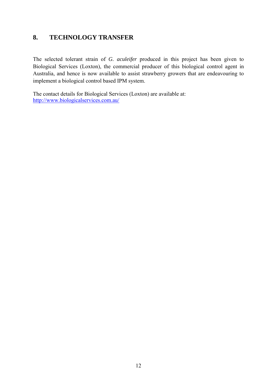### **8. TECHNOLOGY TRANSFER**

The selected tolerant strain of *G. aculeifer* produced in this project has been given to Biological Services (Loxton), the commercial producer of this biological control agent in Australia, and hence is now available to assist strawberry growers that are endeavouring to implement a biological control based IPM system.

The contact details for Biological Services (Loxton) are available at: <http://www.biologicalservices.com.au/>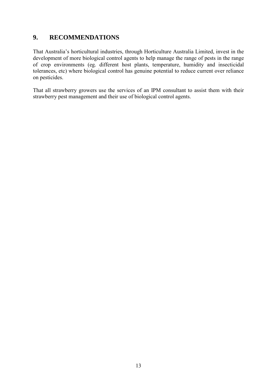### **9. RECOMMENDATIONS**

That Australia's horticultural industries, through Horticulture Australia Limited, invest in the development of more biological control agents to help manage the range of pests in the range of crop environments (eg. different host plants, temperature, humidity and insecticidal tolerances, etc) where biological control has genuine potential to reduce current over reliance on pesticides.

That all strawberry growers use the services of an IPM consultant to assist them with their strawberry pest management and their use of biological control agents.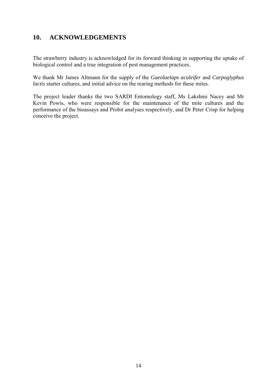### **10. ACKNOWLEDGEMENTS**

The strawberry industry is acknowledged for its forward thinking in supporting the uptake of biological control and a true integration of pest management practices.

We thank Mr James Altmann for the supply of the *Gaeolaelaps aculeifer* and *Carpoglyphus lactis* starter cultures, and initial advice on the rearing methods for these mites.

The project leader thanks the two SARDI Entomology staff, Ms Lakshmi Nacey and Mr Kevin Powis, who were responsible for the maintenance of the mite cultures and the performance of the bioassays and Probit analyses respectively, and Dr Peter Crisp for helping conceive the project.